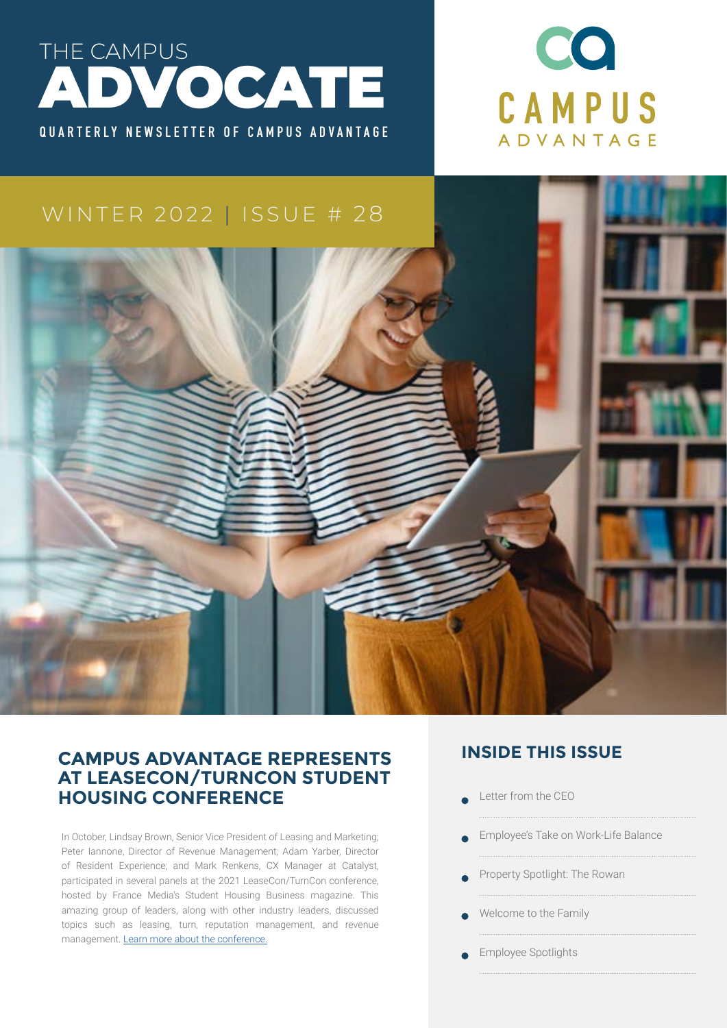



### WINTER 2022 | ISSUE # 28



### **CAMPUS ADVANTAGE REPRESENTS AT LEASECON/TURNCON STUDENT HOUSING CONFERENCE**

In October, Lindsay Brown, Senior Vice President of Leasing and Marketing; Peter Iannone, Director of Revenue Management; Adam Yarber, Director of Resident Experience; and Mark Renkens, CX Manager at Catalyst, participated in several panels at the 2021 LeaseCon/TurnCon conference, hosted by France Media's Student Housing Business magazine. This amazing group of leaders, along with other industry leaders, discussed topics such as leasing, turn, reputation management, and revenue management. [Learn more about the conference.](In October, Lindsay Brown, Senior Vice President of Leasing and Marketing; Peter Iannone, Director of Revenue Management; Adam Yarber, Director of Resident Experience; and Mark Renkens, CX Manager at Catalyst, participated in several panels at the 2021 LeaseCon/TurnCon conference, hosted by France Media’s Student Housing Business magazine. This amazing group of leaders, along with other industry leaders, discussed topics such as leasing, turn, reputation management, and revenue management. Learn more about the conference.http://)

### **INSIDE THIS ISSUE**

- Letter from the CEO
- Employee's Take on Work-Life Balance
- Property Spotlight: The Rowan
- Welcome to the Family
- Employee Spotlights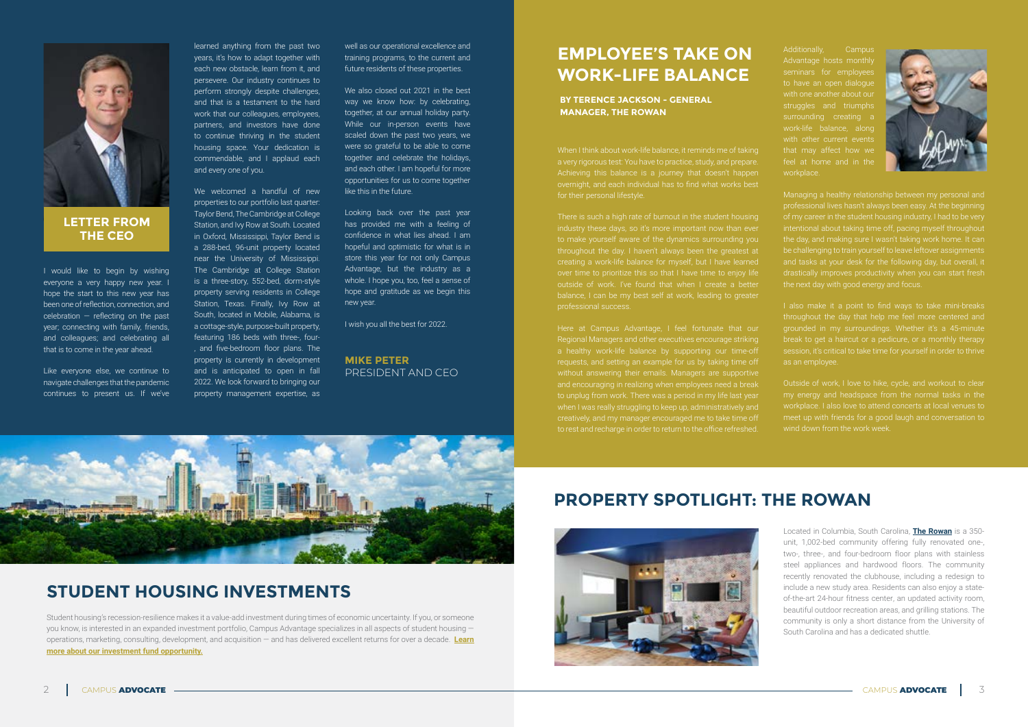I would like to begin by wishing everyone a very happy new year. I hope the start to this new year has been one of reflection, connection, and celebration – reflecting on the past year; connecting with family, friends, and colleagues; and celebrating all that is to come in the year ahead.

Like everyone else, we continue to navigate challenges that the pandemic continues to present us. If we've learned anything from the past two years, it's how to adapt together with each new obstacle, learn from it, and persevere. Our industry continues to perform strongly despite challenges, and that is a testament to the hard work that our colleagues, employees, partners, and investors have done to continue thriving in the student housing space. Your dedication is commendable, and I applaud each and every one of you.

We welcomed a handful of new properties to our portfolio last quarter: Taylor Bend, The Cambridge at College Station, and Ivy Row at South. Located in Oxford, Mississippi, Taylor Bend is a 288-bed, 96-unit property located near the University of Mississippi. The Cambridge at College Station is a three-story, 552-bed, dorm-style property serving residents in College Station, Texas. Finally, Ivy Row at South, located in Mobile, Alabama, is a cottage-style, purpose-built property, featuring 186 beds with three-, four- , and five-bedroom floor plans. The property is currently in development and is anticipated to open in fall 2022. We look forward to bringing our property management expertise, as

well as our operational excellence and training programs, to the current and future residents of these properties.

We also closed out 2021 in the best way we know how: by celebrating. together, at our annual holiday party. While our in-person events have scaled down the past two years, we were so grateful to be able to come together and celebrate the holidays, and each other. I am hopeful for more opportunities for us to come together like this in the future.

Looking back over the past year has provided me with a feeling of confidence in what lies ahead. I am hopeful and optimistic for what is in store this year for not only Campus Advantage, but the industry as a whole. I hope you, too, feel a sense of hope and gratitude as we begin this new year.

I wish you all the best for 2022.



### **LETTER FROM THE CEO**

### **MIKE PETER** PRESIDENT AND CEO

# **EMPLOYEE'S TAKE ON WORK-LIFE BALANCE**

When I think about work-life balance, it reminds me of taking a very rigorous test: You have to practice, study, and prepare. Achieving this balance is a journey that doesn't happen overnight, and each individual has to find what works best for their personal lifestyle.

There is such a high rate of burnout in the student housing throughout the day. I haven't always been the greatest at

Here at Campus Advantage, I feel fortunate that our Regional Managers and other executives encourage striking a healthy work-life balance by supporting our time-off without answering their emails. Managers are supportive and encouraging in realizing when employees need a break when I was really struggling to keep up, administratively and creatively, and my manager encouraged me to take time off to rest and recharge in order to return to the office refreshed.



Additionally, Campus Advantage hosts monthly seminars for employee to have an open dialogue with one another about our struggles and triumphs with other current events workplace.



Managing a healthy relationship between my personal and professional lives hasn't always been easy. At the beginning of my career in the student housing industry, I had to be very intentional about taking time off, pacing myself throughout be challenging to train yourself to leave leftover assignments the next day with good energy and focus.

throughout the day that help me feel more centered and grounded in my surroundings. Whether it's a 45-minute

Outside of work, I love to hike, cycle, and workout to clear my energy and headspace from the normal tasks in the workplace. I also love to attend concerts at local venues to meet up with friends for a good laugh and conversation to wind down from the work week.

**BY TERENCE JACKSON - GENERAL MANAGER, THE ROWAN**

## **PROPERTY SPOTLIGHT: THE ROWAN**



Student housing's recession-resilience makes it a value-add investment during times of economic uncertainty. If you, or someone you know, is interested in an expanded investment portfolio, Campus Advantage specializes in all aspects of student housing operations, marketing, consulting, development, and acquisition — and has delivered excellent returns for over a decade. **Learn [more about our investment fund opportunity.](http://campusadv.com/investnow)**

## **STUDENT HOUSING INVESTMENTS**

Located in Columbia, South Carolina, **[The Rowan](https://rowanapartments.com/)** is a 350 unit, 1,002-bed community offering fully renovated one-, two-, three-, and four-bedroom floor plans with stainless steel appliances and hardwood floors. The community recently renovated the clubhouse, including a redesign to include a new study area. Residents can also enjoy a stateof-the-art 24-hour fitness center, an updated activity room, beautiful outdoor recreation areas, and grilling stations. The community is only a short distance from the University of South Carolina and has a dedicated shuttle.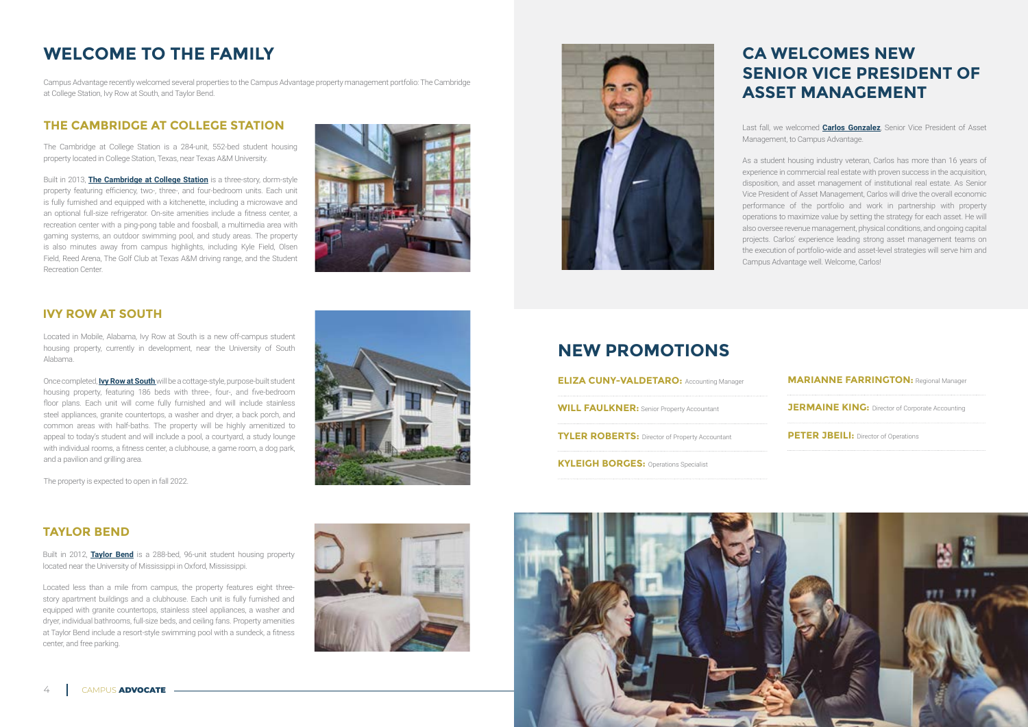# **CA WELCOMES NEW SENIOR VICE PRESIDENT OF ASSET MANAGEMENT**

Last fall, we welcomed **[Carlos Gonzalez](https://campusadv.com/news/campus-advantage-hires-carlos/)**, Senior Vice President of Asset Management, to Campus Advantage.

As a student housing industry veteran, Carlos has more than 16 years of experience in commercial real estate with proven success in the acquisition, disposition, and asset management of institutional real estate. As Senior Vice President of Asset Management, Carlos will drive the overall economic performance of the portfolio and work in partnership with property operations to maximize value by setting the strategy for each asset. He will also oversee revenue management, physical conditions, and ongoing capital projects. Carlos' experience leading strong asset management teams on the execution of portfolio-wide and asset-level strategies will serve him and Campus Advantage well. Welcome, Carlos!

## **NEW PROMOTIONS**

| <b>ELIZA CUNY-VALDETARO: Accounting Manager</b>       |
|-------------------------------------------------------|
| <b>WILL FAULKNER: Senior Property Accountant</b>      |
| <b>TYLER ROBERTS: Director of Property Accountant</b> |
| <b>KYLEIGH BORGES: Operations Specialist</b>          |





# **WELCOME TO THE FAMILY**

### **THE CAMBRIDGE AT COLLEGE STATION**

The Cambridge at College Station is a 284-unit, 552-bed student housing property located in College Station, Texas, near Texas A&M University.

Built in 2013, **[The Cambridge at College Station](https://campusadv.com/news/campus-advantage-takes-over/)** is a three-story, dorm-style property featuring efficiency, two-, three-, and four-bedroom units. Each unit is fully furnished and equipped with a kitchenette, including a microwave and an optional full-size refrigerator. On-site amenities include a fitness center, a recreation center with a ping-pong table and foosball, a multimedia area with gaming systems, an outdoor swimming pool, and study areas. The property is also minutes away from campus highlights, including Kyle Field, Olsen Field, Reed Arena, The Golf Club at Texas A&M driving range, and the Student Recreation Center.



Campus Advantage recently welcomed several properties to the Campus Advantage property management portfolio: The Cambridge at College Station, Ivy Row at South, and Taylor Bend.

### **IVY ROW AT SOUTH**

Located in Mobile, Alabama, Ivy Row at South is a new off-campus student housing property, currently in development, near the University of South Alabama.

Once completed, **[Ivy Row at South](https://campusadv.com/news/campus-advantage-awarded-management/)**will be a cottage-style, purpose-built student housing property, featuring 186 beds with three-, four-, and five-bedroom floor plans. Each unit will come fully furnished and will include stainless steel appliances, granite countertops, a washer and dryer, a back porch, and common areas with half-baths. The property will be highly amenitized to appeal to today's student and will include a pool, a courtyard, a study lounge with individual rooms, a fitness center, a clubhouse, a game room, a dog park, and a pavilion and grilling area.

The property is expected to open in fall 2022.



### **TAYLOR BEND**

Built in 2012, **[Taylor Bend](https://campusadv.com/news/campus-advantage-adds-oxford-ms-property-to-its-management-portfolio/)** is a 288-bed, 96-unit student housing property located near the University of Mississippi in Oxford, Mississippi.

Located less than a mile from campus, the property features eight threestory apartment buildings and a clubhouse. Each unit is fully furnished and equipped with granite countertops, stainless steel appliances, a washer and dryer, individual bathrooms, full-size beds, and ceiling fans. Property amenities at Taylor Bend include a resort-style swimming pool with a sundeck, a fitness center, and free parking.

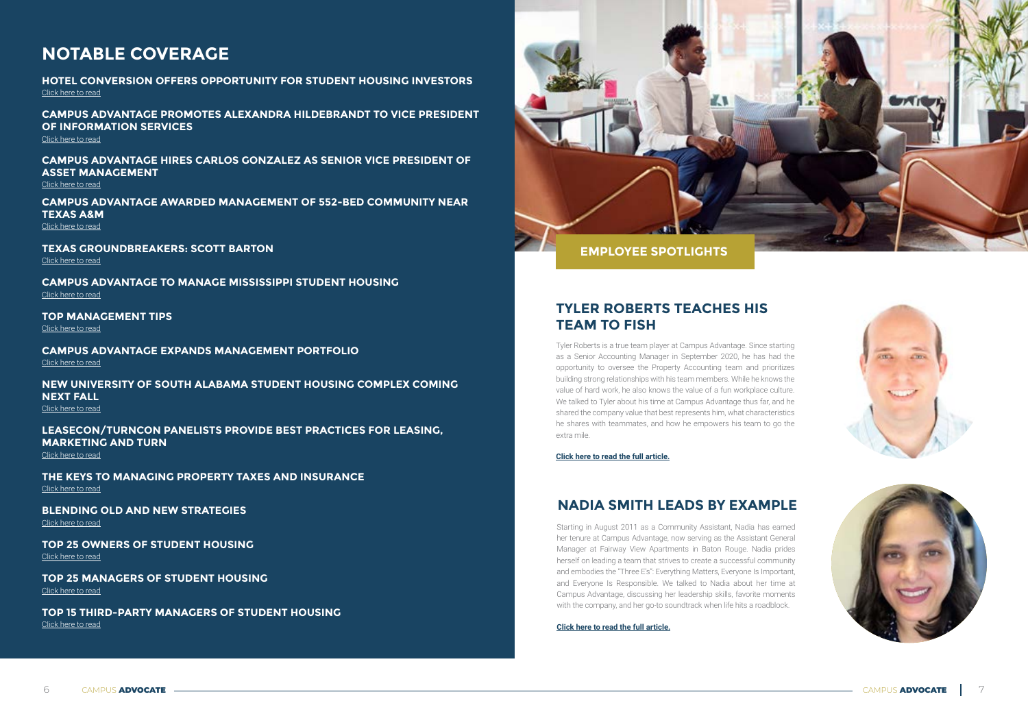Tyler Roberts is a true team player at Campus Advantage. Since starting as a Senior Accounting Manager in September 2020, he has had the opportunity to oversee the Property Accounting team and prioritizes building strong relationships with his team members. While he knows the value of hard work, he also knows the value of a fun workplace culture. We talked to Tyler about his time at Campus Advantage thus far, and he shared the company value that best represents him, what characteristics he shares with teammates, and how he empowers his team to go the extra mile.

**[Click here to read the full article.](https://campusadv.com/tyler-roberts-teaches-his-team-to-fish/)**



### **TYLER ROBERTS TEACHES HIS TEAM TO FISH**

**CAMPUS ADVANTAGE TO MANAGE MISSISSIPPI STUDENT HOUSING** [Click here to read](https://www.multihousingnews.com/post/campus-advantage-to-manage-mississippi-student-housing/)

**TOP MANAGEMENT TIPS** [Click here to read](https://editions.mydigitalpublication.com/publication/?m=58489&i=727659&p=58&ver=html5)

> Starting in August 2011 as a Community Assistant, Nadia has earned her tenure at Campus Advantage, now serving as the Assistant General Manager at Fairway View Apartments in Baton Rouge. Nadia prides herself on leading a team that strives to create a successful community and embodies the "Three E's": Everything Matters, Everyone Is Important, and Everyone Is Responsible. We talked to Nadia about her time at Campus Advantage, discussing her leadership skills, favorite moments with the company, and her go-to soundtrack when life hits a roadblock.

**[Click here to read the full article.](https://campusadv.com/nadia-smith-leads-by-example/)**







### **NADIA SMITH LEADS BY EXAMPLE**

# **NOTABLE COVERAGE**

**HOTEL CONVERSION OFFERS OPPORTUNITY FOR STUDENT HOUSING INVESTORS** [Click here to read](https://www.studenthousingbusiness.com/theresa-sopata-hotel-conversion-offers-opportunity-for-student-housing-investors/)

**CAMPUS ADVANTAGE PROMOTES ALEXANDRA HILDEBRANDT TO VICE PRESIDENT OF INFORMATION SERVICES**

[Click here to read](https://www.studenthousingbusiness.com/campus-advantage-promotes-alexandra-hildebrandt-to-vice-president-of-information-services/)

**CAMPUS ADVANTAGE HIRES CARLOS GONZALEZ AS SENIOR VICE PRESIDENT OF ASSET MANAGEMENT**

[Click here to read](https://www.studenthousingbusiness.com/campus-advantage-hires-carlos-gonzalez-as-senior-vice-president-of-asset-management/)

**CAMPUS ADVANTAGE AWARDED MANAGEMENT OF 552-BED COMMUNITY NEAR TEXAS A&M**

[Click here to read](https://www.studenthousingbusiness.com/campus-advantage-awarded-management-of-552-bed-community-near-texas-am)

**TEXAS GROUNDBREAKERS: SCOTT BARTON**

[Click here to read](https://editions.mydigitalpublication.com/publication/?m=58452&i=725959&p=6&ver=html5)

**CAMPUS ADVANTAGE EXPANDS MANAGEMENT PORTFOLIO** [Click here to read](https://www.multihousingnews.com/campus-advantage-expands-management-portfolio/)

**NEW UNIVERSITY OF SOUTH ALABAMA STUDENT HOUSING COMPLEX COMING NEXT FALL**

[Click here to read](https://www.al.com/news/2021/11/new-university-of-south-alabama-student-housing-complex-coming-next-fall.html)

**LEASECON/TURNCON PANELISTS PROVIDE BEST PRACTICES FOR LEASING, MARKETING AND TURN**

[Click here to read](https://www.studenthousingbusiness.com/leasecon-turncon-panelists-provide-best-practices-for-leasing-marketing-and-turn%E2%80%A8/)

**THE KEYS TO MANAGING PROPERTY TAXES AND INSURANCE** [Click here to read](https://editions.mydigitalpublication.com/publication/?i=733087&ver=html5&p=113)

**BLENDING OLD AND NEW STRATEGIES** [Click here to read](https://editions.mydigitalpublication.com/publication/?i=733087&ver=html5&p=52)

**TOP 25 OWNERS OF STUDENT HOUSING** [Click here to read](https://editions.mydigitalpublication.com/publication/?i=733087&ver=html5&p=76)

**TOP 25 MANAGERS OF STUDENT HOUSING** [Click here to read](https://editions.mydigitalpublication.com/publication/?i=733087&ver=html5&p=90)

**TOP 15 THIRD-PARTY MANAGERS OF STUDENT HOUSING** [Click here to read](https://editions.mydigitalpublication.com/publication/?i=733087&ver=html5&p=92)